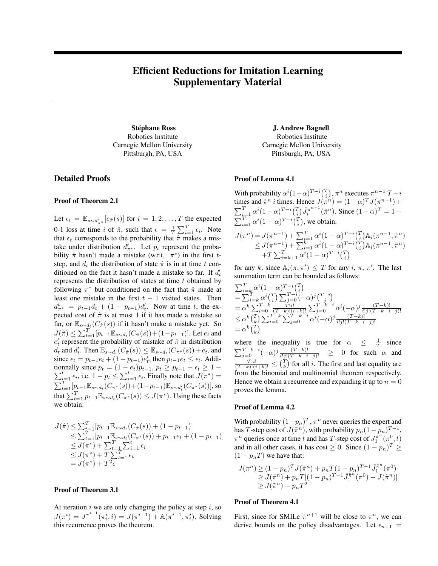# Efficient Reductions for Imitation Learning Supplementary Material

Robotics Institute Carnegie Mellon University Pittsburgh, PA, USA

# Detailed Proofs

## Proof of Theorem 2.1

Let  $\epsilon_i = \mathbb{E}_{s \sim d_{\pi^*}^i} [e_{\hat{\pi}}(s)]$  for  $i = 1, 2, ..., T$  the expected 0-1 loss at time i of  $\hat{\pi}$ , such that  $\epsilon = \frac{1}{T} \sum_{i=1}^{T} \epsilon_i$ . Note that  $\epsilon_t$  corresponds to the probability that  $\hat{\pi}$  makes a mistake under distribution  $d_{\pi^*}^t$ . Let  $p_t$  represent the probability  $\hat{\pi}$  hasn't made a mistake (w.r.t.  $\pi^*$ ) in the first tstep, and  $d_t$  the distribution of state  $\hat{\pi}$  is in at time t conditioned on the fact it hasn't made a mistake so far. If  $d_t$ represents the distribution of states at time  $t$  obtained by following  $\pi^*$  but conditioned on the fact that  $\hat{\pi}$  made at least one mistake in the first  $t - 1$  visited states. Then  $d_{\pi^*}^t = p_{t-1}d_t + (1 - p_{t-1})d_t'$ . Now at time t, the expected cost of  $\hat{\pi}$  is at most 1 if it has made a mistake so far, or  $\mathbb{E}_{s \sim d_t}(C_{\hat{\pi}}(s))$  if it hasn't make a mistake yet. So  $J(\hat{\pi}) \le \sum_{t=1}^{T} [p_{t-1} \mathbb{E}_{s \sim d_t} (C_{\hat{\pi}}(s)) + (1-p_{t-1})]$ . Let  $e_t$  and  $e'_t$  represent the probability of mistake of  $\hat{\pi}$  in distribution  $d_t$  and  $d'_t$ . Then  $\mathbb{E}_{s \sim d_t}(C_{\hat{\pi}}(s)) \leq \mathbb{E}_{s \sim d_t}(C_{\pi^*}(s)) + e_t$ , and since  $\epsilon_t = p_{t-1}e_t + (1 - p_{t-1})e'_t$ , then  $p_{t-1}e_t \leq \epsilon_t$ . Additionnally since  $\sum$ nnally since  $p_t = (1 - e_t)p_{t-1}, p_t \ge p_{t-1} - \epsilon_t \ge 1 - \frac{t}{t-1} \epsilon_i$ , i.e.  $1 - p_t \le \sum_{i=1}^t \epsilon_i$ . Finally note that  $J(\pi^*) =$  $\sum_{t=1}^{T} [p_{t-1} \mathbb{E}_{s \sim d_t}(C_{\pi^*}(s)) + (1-p_{t-1}) \mathbb{E}_{s \sim d'_t}(C_{\pi^*}(s))]$ , so that  $\sum_{t=1}^{T} p_{t-1} \mathbb{E}_{s \sim d_t}(C_{\pi^*}(s)) \leq J(\pi^*)$ . Using these facts we obtain:

$$
J(\hat{\pi}) \leq \sum_{t=1}^{T} [p_{t-1} \mathbb{E}_{s \sim d_t} (C_{\hat{\pi}}(s)) + (1 - p_{t-1})]
$$
  
\n
$$
\leq \sum_{t=1}^{T} [p_{t-1} \mathbb{E}_{s \sim d_t} (C_{\pi^*}(s)) + p_{t-1} e_t + (1 - p_{t-1})]
$$
  
\n
$$
\leq J(\pi^*) + \sum_{t=1}^{T} \sum_{i=1}^{t} \epsilon_i
$$
  
\n
$$
\leq J(\pi^*) + T \sum_{t=1}^{T} \epsilon_t
$$
  
\n
$$
= J(\pi^*) + T^2 \epsilon
$$

### Proof of Theorem 3.1

At iteration  $i$  we are only changing the policy at step  $i$ , so  $J(\pi^i) = J^{\pi^{i-1}}(\pi_i^i, i) = J(\pi^{i-1}) + \mathbb{A}(\pi^{i-1}, \pi_i^i)$ . Solving this recurrence proves the theorem.

Stéphane Ross J. Andrew Bagnell Robotics Institute Carnegie Mellon University Pittsburgh, PA, USA

#### Proof of Lemma 4.1

With probability  $\alpha^{i} (1-\alpha)^{T-i} \binom{T}{i}, \pi^{n}$  executes  $\pi^{n-1} T - i$ times and  $\hat{\pi}^n$  *i* times. Hence  $J(\pi^n) = (1-\alpha)^T J(\pi^{n-1}) +$  $\sum_{i=1}^{T} \alpha^{i} (1-\alpha)^{T-i} {T \choose i} \bar{J}_{i}^{\pi^{n-1}}(\hat{\pi}^{n})$ . Since  $(1-\alpha)^{T} = 1 \sum_{i=1}^{T} \alpha^{i} (1-\alpha)^{T-i} {T \choose i}$ , we obtain:  $J(\pi^n) = J(\pi^{n-1}) + \sum_{i=1}^T \alpha^i (1-\alpha)^{T-i} {T \choose i} A_i(\pi^{n-1}, \hat{\pi}^n)$  $\leq J(\pi^{n-1}) + \sum_{i=1}^{k} \alpha^{i} (1-\alpha) \sum_{i=1}^{T-i} \left(\frac{\tilde{T}}{i}\right) \mathbb{A}_{i}(\pi^{n-1}, \hat{\pi}^{n})$ 

for any k, since  $\mathbb{A}_i(\pi, \pi') \leq T$  for any  $i, \pi, \pi'$ . The last summation term can be bounded as follows:

 $+T\sum_{i=k+1}^{T} \alpha^{i} (1-\alpha)^{T-i} {T \choose i}$ 

$$
\begin{array}{l} \sum_{i=k}^{T} \alpha^{i} (1-\alpha)^{T-i} {T \choose i} \\ = \sum_{i=k}^{T} \alpha^{i} {T \choose i} \sum_{j=0}^{T-i} (-\alpha)^{j} {T-i \choose j} \\ = \alpha^{k} \sum_{i=0}^{T-k} {T! \choose i} \sum_{j=0}^{T-k-i} (-\alpha)^{j} {T-k-i \choose j} \\ \le \alpha^{k} {T \choose k} \sum_{i=0}^{T-k} \sum_{j=0}^{T-k-i} \alpha^{i} (-\alpha)^{j} { (T-k)! \over i!j! (T-k-i-j)!} \\ = \alpha^{k} {T \choose k} \end{array}
$$

where the inequality is true for  $\alpha \leq \frac{1}{T}$  since  $\sum_{j=0}^{T-k-i} (-\alpha)^j \frac{(T-k)!}{i!j!(T-k-i-j)!}$  ≥ 0 for such  $\alpha$  and  $\frac{T!i!}{(T-k)!(i+k)!} \leq {T \choose k}$  for all i. The first and last equality are from the binomial and multinomial theorem respectively. Hence we obtain a recurrence and expanding it up to  $n = 0$ proves the lemma.

#### Proof of Lemma 4.2

With probability  $(1-p_n)^T$ ,  $\pi^n$  never queries the expert and has T-step cost of  $J(\tilde{\pi}^n)$ , with probability  $p_n(1-p_n)^{T-1}$ ,  $\pi^n$  queries once at time t and has T-step cost of  $J_1^{\pi^n}(\pi^0,t)$ and in all other cases, it has cost  $\geq 0$ . Since  $(1 - p_n)^T \geq 1$  $(1 - p<sub>n</sub>T)$  we have that:

$$
J(\pi^n) \ge (1 - p_n)^T J(\tilde{\pi}^n) + p_n T (1 - p_n)^{T-1} \bar{J}_1^{\tilde{\pi}^n} (\pi^0)
$$
  
\n
$$
\ge J(\tilde{\pi}^n) + p_n T [(1 - p_n)^{T-1} \bar{J}_1^{\tilde{\pi}^n} (\pi^0) - J(\tilde{\pi}^n)]
$$
  
\n
$$
\ge J(\tilde{\pi}^n) - p_n T^2
$$

#### Proof of Theorem 4.1

First, since for SMILe  $\hat{\pi}^{n+1}$  will be close to  $\pi^n$ , we can derive bounds on the policy disadvantages. Let  $\epsilon_{n+1}$  =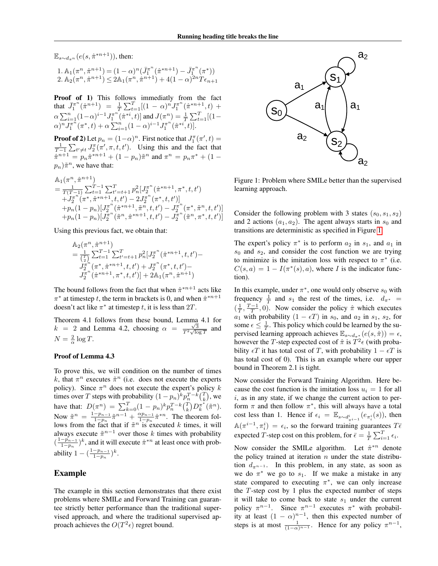$\mathbb{E}_{s \sim d_{\pi^n}}(e(s, \hat{\pi}^{*n+1}))$ , then:

$$
\begin{array}{l} 1. \ \mathbb{A}_1(\pi^n, \hat{\pi}^{n+1}) = (1-\alpha)^n (\bar{J}_1^{\pi^n}(\hat{\pi}^{*n+1}) - \bar{J}_1^{\pi^n}(\pi^*)) \\ 2. \ \mathbb{A}_2(\pi^n, \hat{\pi}^{n+1}) \leq 2\mathbb{A}_1(\pi^n, \hat{\pi}^{n+1}) + 4(1-\alpha)^{2n} T \epsilon_{n+1} \end{array}
$$

Proof of 1) This follows immediatly from the fact that  $\bar{J}_1^{\pi^n}(\hat{\pi}^{n+1})$  =  $\frac{1}{T} \sum_{t=1}^T [(1-\alpha)^n J_1^{\pi^n}(\hat{\pi}^{*n+1}, t)$  +  $\alpha \sum_{i=1}^{n} (1-\alpha)^{i-1} J_1^{\pi^n}(\hat{\pi}^{*i}, t) ]$  and  $J(\pi^n) = \frac{1}{T} \sum_{t=1}^{T} [(1-\alpha)^{i-1}]$  $\alpha)^n J_1^{\pi^n}(\pi^*,t) + \alpha \sum_{i=1}^n (1-\alpha)^{i-1} J_1^{\pi^n}(\hat{\pi}^{*i},t).$ 

**Proof of 2**) Let  $p_n = (1-\alpha)^n$ . First notice that  $J_1^{\pi}(\pi', t) =$  $\frac{1}{T-1} \sum_{t' \neq t} J_2^{\pi}(\pi', \pi, t, t')$ . Using this and the fact that  $\hat{\pi}^{n+1} = p_n \hat{\pi}^{*n+1} + (1 - p_n) \tilde{\pi}^n$  and  $\pi^n = p_n \pi^* + (1 - p_n)$  $(p_n)\tilde{\pi}^n$ , we have that:

$$
\begin{split} &\mathbb{A}_1(\pi^n,\hat{\pi}^{n+1})\\ &=\frac{1}{T(T-1)}\sum_{t=1}^{T-1}\sum_{t'=t+1}^{T}p_n^2\big[J_2^{\pi^n}(\hat{\pi}^{*n+1},\pi^*,t,t')\\ &+J_2^{\pi^n}(\pi^*,\hat{\pi}^{*n+1},t,t')-2J_2^{\pi^n}(\pi^*,t,t')\big]\\ &+p_n(1-p_n)\big[J_2^{\pi^n}(\hat{\pi}^{*n+1},\tilde{\pi}^n,t,t')-J_2^{\pi^n}(\pi^*,\tilde{\pi}^n,t,t')\big]\\ &+p_n(1-p_n)\big[J_2^{\pi^n}(\tilde{\pi}^n,\hat{\pi}^{*n+1},t,t')-J_2^{\pi^n}(\tilde{\pi}^n,\pi^*,t,t')\big] \end{split}
$$

Using this previous fact, we obtain that:

$$
\begin{aligned}\n&\mathbb{A}_2(\pi^n, \hat{\pi}^{n+1}) \\
&= \frac{1}{\binom{T}{2}} \sum_{t=1}^{T-1} \sum_{t'=t+1}^{T} p_n^2 \big[ J_2^{\pi^n}(\hat{\pi}^{*n+1}, t, t') - J_2^{\pi^n}(\pi^*, \hat{\pi}^{*n+1}, t, t') + J_2^{\pi^n}(\pi^*, t, t') - J_2^{\pi^n}(\hat{\pi}^{*n+1}, \pi^*, t, t') \big] + 2\mathbb{A}_1(\pi^n, \hat{\pi}^{n+1})\n\end{aligned}
$$

The bound follows from the fact that when  $\hat{\pi}^{*n+1}$  acts like  $\pi^*$  at timestep t, the term in brackets is 0, and when  $\hat{\pi}^{*n+1}$ doesn't act like  $\pi^*$  at timestep t, it is less than  $2T$ .

Theorem 4.1 follows from these bound, Lemma 4.1 for  $k = 2$  and Lemma 4.2, choosing  $\alpha = \frac{\sqrt{3}}{T^2 \sqrt{\log T}}$  and  $N = \frac{2}{\alpha} \log T$ .

#### Proof of Lemma 4.3

To prove this, we will condition on the number of times k, that  $\pi^n$  executes  $\tilde{\pi}^n$  (i.e. does not execute the experts policy). Since  $\pi^n$  does not execute the expert's policy k times over T steps with probability  $(1 - p_n)^k p_n^{T-k} \binom{T}{k}$ , we have that:  $D(\pi^n) = \sum_{k=0}^T (1 - p_n)^k p_n^{T-k} {T \choose k} D_k^{\pi^*}(\tilde{\pi}^n)$ . Now  $\tilde{\pi}^n = \frac{1-p_{n-1}}{1-p}$  $\frac{-p_{n-1}}{1-p_n}\tilde{\pi}^{n-1} + \frac{\alpha p_{n-1}}{1-p_n}$  $\frac{\alpha p_{n-1}}{1-p_n}\hat{\pi}^{*n}$ . The theorem follows from the fact that if  $\tilde{\pi}^n$  is executed k times, it will always execute  $\tilde{\pi}^{n-1}$  over those k times with probability  $\left(\frac{1-p_{n-1}}{1-p}\right)$  $\frac{-p_{n-1}}{1-p_n}$ <sup>k</sup>, and it will execute  $\hat{\pi}^{*n}$  at least once with probability  $1 - (\frac{1 - p_{n-1}}{1 - n})$  $\frac{-p_{n-1}}{1-p_n}$ )<sup>k</sup>.

## Example

The example in this section demonstrates that there exist problems where SMILe and Forward Training can guarantee strictly better performance than the traditional supervised approach, and where the traditional supervised approach achieves the  $O(T^2 \epsilon)$  regret bound.



<span id="page-1-0"></span>Figure 1: Problem where SMILe better than the supervised learning approach.

Consider the following problem with 3 states  $(s_0, s_1, s_2)$ and 2 actions  $(a_1, a_2)$ . The agent always starts in  $s_0$  and transitions are deterministic as specified in Figure [1.](#page-1-0)

The expert's policy  $\pi^*$  is to perform  $a_2$  in  $s_1$ , and  $a_1$  in  $s_0$  and  $s_2$ , and consider the cost function we are trying to minimize is the imitation loss with respect to  $\pi^*$  (i.e.  $C(s, a) = 1 - I(\pi^*(s), a)$ , where I is the indicator function).

In this example, under  $\pi^*$ , one would only observe  $s_0$  with frequency  $\frac{1}{T}$  and  $s_1$  the rest of the times, i.e.  $d_{\pi^*}$  =  $(\frac{1}{T}, \frac{T-1}{T}, 0)$ . Now consider the policy  $\hat{\pi}$  which executes  $a_1$  with probability  $(1 - \epsilon T)$  in  $s_0$ , and  $a_2$  in  $s_1$ ,  $s_2$ , for some  $\epsilon \leq \frac{1}{T}$ . This policy which could be learned by the supervised learning approach achieves  $\mathbb{E}_{s \sim d_{\pi^*}}(e(s, \hat{\pi})) = \epsilon$ , however the T-step expected cost of  $\hat{\pi}$  is  $T^2 \epsilon$  (with probability  $\epsilon T$  it has total cost of T, with probability  $1 - \epsilon T$  is has total cost of 0). This is an example where our upper bound in Theorem 2.1 is tight.

Now consider the Forward Training Algorithm. Here because the cost function is the imitation loss  $u_i = 1$  for all  $i$ , as in any state, if we change the current action to perform  $\pi$  and then follow  $\pi^*$ , this will always have a total cost less than 1. Hence if  $\epsilon_i = \mathbb{E}_{s \sim d_{\pi_{i-1}}^i}(e_{\pi_i^i}(s))$ , then  $\mathbb{A}(\pi^{i-1}, \pi_i^i) = \epsilon_i$ , so the forward training guarantees  $T\bar{\epsilon}$ expected T-step cost on this problem, for  $\bar{\epsilon} = \frac{1}{T} \sum_{i=1}^{T} \epsilon_i$ .

Now consider the SMILe algorithm. Let  $\hat{\pi}^{*n}$  denote the policy trained at iteration  $n$  under the state distribution  $d_{\pi^{n-1}}$ . In this problem, in any state, as soon as we do  $\pi^*$  we go to  $s_1$ . If we make a mistake in any state compared to executing  $\pi^*$ , we can only increase the  $T$ -step cost by 1 plus the expected number of steps it will take to come back to state  $s_1$  under the current policy  $\pi^{n-1}$ . Since  $\pi^{n-1}$  executes  $\pi^*$  with probability at least  $(1 - \alpha)^{n-1}$ , then this expected number of steps is at most  $\frac{1}{(1-\alpha)^{n-1}}$ . Hence for any policy  $\pi^{n-1}$ ,